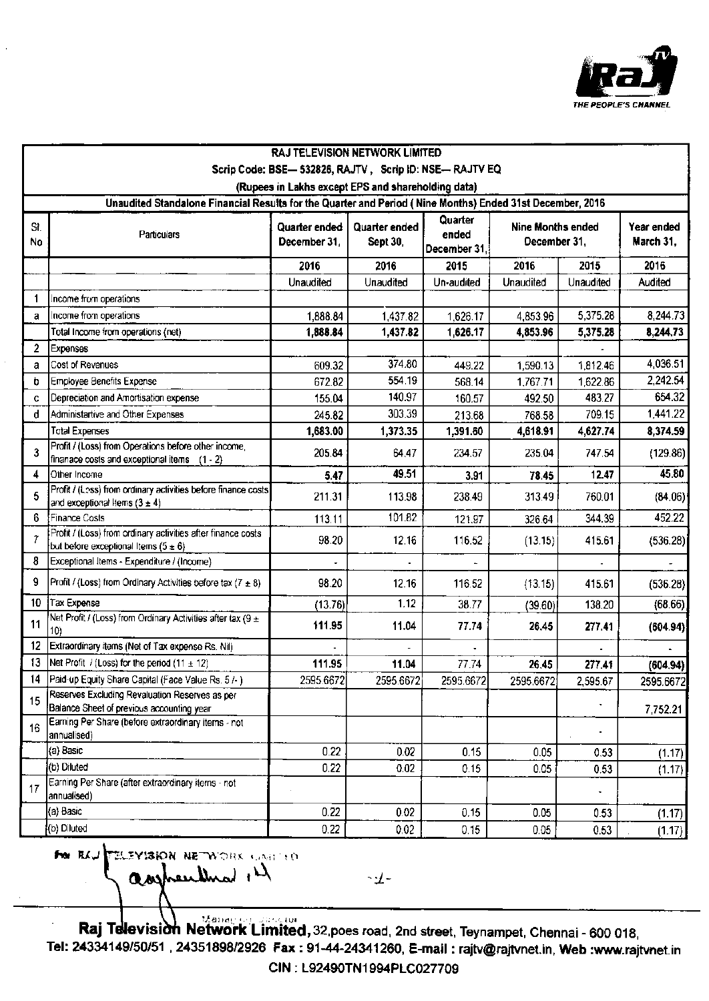

| <b>RAJ TELEVISION NETWORK LIMITED</b>                                                                     |                                                                                                          |                      |                 |                  |                   |              |                         |  |  |
|-----------------------------------------------------------------------------------------------------------|----------------------------------------------------------------------------------------------------------|----------------------|-----------------|------------------|-------------------|--------------|-------------------------|--|--|
| Scrip Code: BSE- 532826, RAJTV, Scrip ID: NSE- RAJTV EQ                                                   |                                                                                                          |                      |                 |                  |                   |              |                         |  |  |
| (Rupees in Lakhs except EPS and shareholding data)                                                        |                                                                                                          |                      |                 |                  |                   |              |                         |  |  |
| Unaudited Standalone Financial Results for the Quarter and Period (Nine Months) Ended 31st December, 2016 |                                                                                                          |                      |                 |                  |                   |              |                         |  |  |
| St.                                                                                                       | Particulars                                                                                              | <b>Quarter ended</b> | Quarter ended   | Quarter<br>ended | Nine Months ended |              | Year ended<br>March 31, |  |  |
| <b>No</b>                                                                                                 |                                                                                                          | December 31,         | <b>Sept 30,</b> | December 31,     |                   | December 31, |                         |  |  |
|                                                                                                           |                                                                                                          | 2016                 | 2016            | 2015             | 2016              | 2015         | 2016                    |  |  |
|                                                                                                           |                                                                                                          | Unaudited            | Unaudited       | Un-audited       | Unaudited         | Unaudited    | Audited                 |  |  |
| $\mathbf 1$                                                                                               | Income from operations                                                                                   |                      |                 |                  |                   |              |                         |  |  |
| a                                                                                                         | Income from operations                                                                                   | 1,888.84             | 1,437.82        | 1,626.17         | 4,853.96          | 5,375.28     | 8,244.73                |  |  |
|                                                                                                           | Total Income from operations (net)                                                                       | 1,888.84             | 1,437.82        | 1,626.17         | 4,853.96          | 5,375.28     | 8,244.73                |  |  |
| $\overline{2}$                                                                                            | <b>Expenses</b>                                                                                          |                      |                 |                  |                   |              |                         |  |  |
| a                                                                                                         | Cost of Revenues                                                                                         | 609.32               | 374.80          | 449.22           | 1,590.13          | 1,812.46     | 4,036.51                |  |  |
| b                                                                                                         | <b>Employee Benefits Expense</b>                                                                         | 672.82               | 554.19          | 568.14           | 1,767.71          | 1,622.86     | 2,242.54                |  |  |
| C                                                                                                         | Depreciation and Amortisation expense                                                                    | 155.04               | 140.97          | 160.57           | 492.50            | 483.27       | 654.32                  |  |  |
| d                                                                                                         | Administartive and Other Expenses                                                                        | 245.82               | 303.39          | 213.68           | 768.58            | 709.15       | 1,441.22                |  |  |
|                                                                                                           | <b>Total Expenses</b>                                                                                    | 1,683.00             | 1,373.35        | 1,391.60         | 4,618.91          | 4,627.74     | 8,374.59                |  |  |
| 3                                                                                                         | Profit / (Loss) from Operations before other income,<br>finanace costs and exceptional items (1 - 2)     | 205.84               | 64.47           | 234.57           | 235.04            | 747.54       | (129.86)                |  |  |
| 4                                                                                                         | Other Income                                                                                             | 5.47                 | 49.51           | 3.91             | 78.45             | 12.47        | 45.80                   |  |  |
| 5                                                                                                         | Profit / (Less) from ordinary activities before finance costs<br>and exceptional Items $(3 \pm 4)$       | 211.31               | 113.98          | 238.49           | 313.49            | 760.01       | (84.06)                 |  |  |
| 6                                                                                                         | Finance Costs                                                                                            | 113.11               | 101.82          | 121.97           | 326.64            | 344.39       | 452.22                  |  |  |
| $\overline{7}$                                                                                            | Profit / (Loss) from ordinary activities after finance costs<br>but before exceptional Items $(5 \pm 6)$ | 98.20                | 12.16           | 116.52           | (13.15)           | 415.61       | (536.28)                |  |  |
| 8                                                                                                         | Exceptional Items - Expenditure / (Income)                                                               |                      |                 |                  |                   |              |                         |  |  |
| 9                                                                                                         | Profit / (Loss) from Ordinary Activities before tax $(7 \pm 8)$                                          | 98.20                | 12.16           | 116.52           | (13.15)           | 415.61       | (536.28)                |  |  |
| 10                                                                                                        | Tax Expense                                                                                              | (13.76)              | 1.12            | 38.77            | (39.60)           | 138.20       | (68.66)                 |  |  |
| 11                                                                                                        | Net Profit / (Loss) from Ordinary Activities after tax (9 $\pm$<br>10)                                   | 111.95               | 11.04           | 77.74            | 26.45             | 277.41       | (604.94)                |  |  |
| 12                                                                                                        | Extraordinary items (Net of Tax expense Rs. Nil)                                                         |                      |                 |                  |                   |              |                         |  |  |
| 13                                                                                                        | Net Profit / (Loss) for the period $(11 \pm 12)$                                                         | 111.95               | 11.04           | 77.74            | 26.45             | 277.41       | (604.94)                |  |  |
| 14                                                                                                        | Paid-up Equity Share Capital (Face Value Rs. 5/-)                                                        | 2595.6672            | 2595.6672       | 2595.6672        | 2595.6672         | 2,595.67     | 2595.6672               |  |  |
| 15                                                                                                        | Reserves Excluding Revaluation Reserves as per<br>Balance Sheet of previous accounting year              |                      |                 |                  |                   |              | 7,752.21                |  |  |
| 16                                                                                                        | Earning Per Share (before extraordinary items - not<br>annualised)                                       |                      |                 |                  |                   |              |                         |  |  |
|                                                                                                           | (a) Basic                                                                                                | 0.22                 | 0.02            | 0.15             | 0.05              | 0.53         | (1.17)                  |  |  |
|                                                                                                           | (b) Diluted                                                                                              | 0.22                 | 0.02            | 0.15             | 0.05              | 0.53         | (1.17)                  |  |  |
| 17                                                                                                        | Earning Per Share (after extraordinary items - not<br>annualised)                                        |                      |                 |                  |                   |              |                         |  |  |
|                                                                                                           | (a) Basic                                                                                                | 0.22                 | 0.02            | 0.15             | 0.05              | 0.53         | (1.17)                  |  |  |
|                                                                                                           | (b) Diluted                                                                                              | 0.22                 | 0.02            | 0.15             | 0.05              | 0.53         | (1.17)                  |  |  |

FOR REAL TELEVISION NETWORK CANTED assherithed il

 $\mathcal{L}$ 

**Raj Television Network Limited, 32 poes road, 2nd street, Teynampet, Chennai - 600 018,** Tel: 24334149/50/51, 24351898/2926 Fax: 91-44-24341260, E-mail: rajtv@rajtvnet.in, Web:www.rajtvnet.in CIN: L92490TN1994PLC027709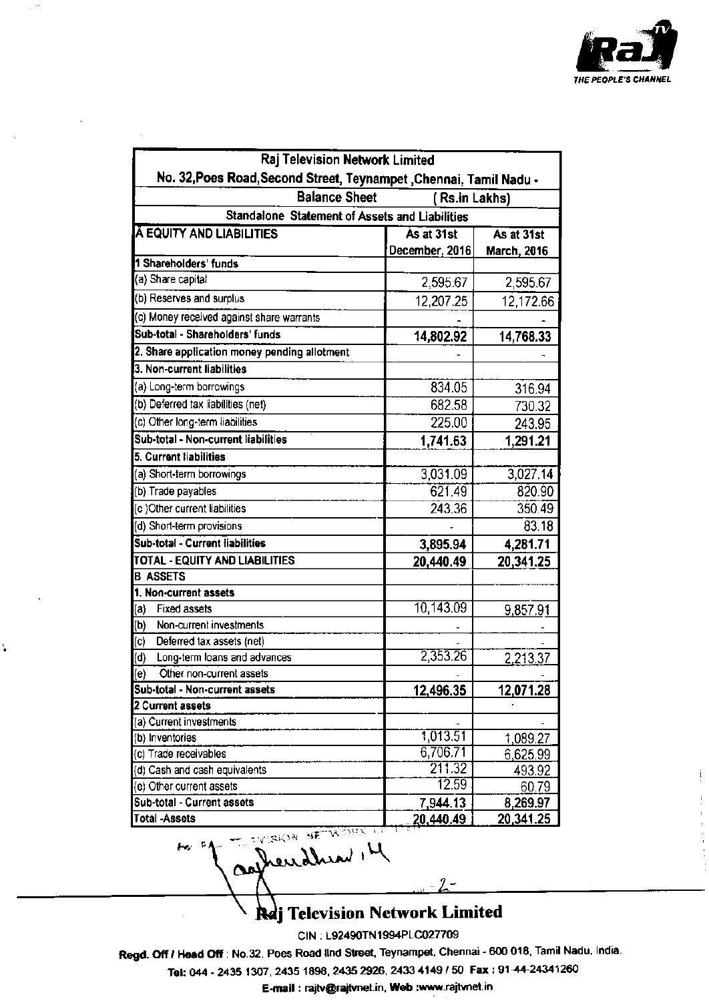

| Raj Television Network Limited                                     |                 |                    |  |  |  |  |  |  |
|--------------------------------------------------------------------|-----------------|--------------------|--|--|--|--|--|--|
| No. 32, Poes Road, Second Street, Teynampet, Chennai, Tamil Nadu - |                 |                    |  |  |  |  |  |  |
| <b>Balance Sheet</b><br>(Rs.in Lakhs)                              |                 |                    |  |  |  |  |  |  |
| Standalone Statement of Assets and Liabilities                     |                 |                    |  |  |  |  |  |  |
| <b>A EQUITY AND LIABILITIES</b>                                    | As at 31st      | As at 31st         |  |  |  |  |  |  |
| 1 Shareholders' funds                                              | December, 2016  | <b>March, 2016</b> |  |  |  |  |  |  |
| (a) Share capital                                                  |                 |                    |  |  |  |  |  |  |
| (b) Reserves and surplus                                           | 2,595.67        | 2,595.67           |  |  |  |  |  |  |
| (c) Money received against share warrants                          | 12,207.25       | 12,172.66          |  |  |  |  |  |  |
| Sub-total - Shareholders' funds                                    |                 |                    |  |  |  |  |  |  |
|                                                                    | 14,802.92       | 14,768.33          |  |  |  |  |  |  |
| 2. Share application money pending allotment                       |                 |                    |  |  |  |  |  |  |
| 3. Non-current liabilities                                         |                 |                    |  |  |  |  |  |  |
| (a) Long-term borrowings                                           | 834.05          | 316.94             |  |  |  |  |  |  |
| (b) Deferred tax liabilities (net)                                 | 682.58          | 730.32             |  |  |  |  |  |  |
| (c) Other long-term liabilities                                    | 225.00          | 243.95             |  |  |  |  |  |  |
| Sub-total - Non-current liabilities                                | 1,741.63        | 1,291.21           |  |  |  |  |  |  |
| 5. Current liabilities                                             |                 |                    |  |  |  |  |  |  |
| (a) Short-term borrowings                                          | 3,031.09        | 3,027.14           |  |  |  |  |  |  |
| (b) Trade payables                                                 | 621.49          | 820.90             |  |  |  |  |  |  |
| (c) Other current liabilities                                      | 243.36          | 350.49             |  |  |  |  |  |  |
| (d) Short-term provisions                                          |                 | 83.18              |  |  |  |  |  |  |
| Sub-total - Current liabilities                                    | 3,895.94        | 4,281.71           |  |  |  |  |  |  |
| TOTAL - EQUITY AND LIABILITIES                                     | 20,440.49       | 20,341.25          |  |  |  |  |  |  |
| <b>B ASSETS</b>                                                    |                 |                    |  |  |  |  |  |  |
| 1. Non-current assets                                              |                 |                    |  |  |  |  |  |  |
| (a)<br><b>Fixed assets</b>                                         | 10,143.09       | <u>9,857.91</u>    |  |  |  |  |  |  |
| (b)<br>Non-current investments                                     |                 |                    |  |  |  |  |  |  |
| <br>Deferred tax assets (net)                                      |                 |                    |  |  |  |  |  |  |
| (d)<br>Long-term loans and advances                                | 2,353.26        | 2,213.37           |  |  |  |  |  |  |
| (e)<br>Other non-current assets                                    |                 |                    |  |  |  |  |  |  |
| Sub-total - Non-current assets                                     | 12,496.35       | 12,071.28          |  |  |  |  |  |  |
| 2 Current assets                                                   |                 |                    |  |  |  |  |  |  |
| (a) Current investments                                            |                 |                    |  |  |  |  |  |  |
| (b) Inventories                                                    | 1,013.51        | 1,089.27           |  |  |  |  |  |  |
| (c) Trade receivables                                              | 6,706.71        | 6,625.99           |  |  |  |  |  |  |
| (d) Cash and cash equivalents                                      | 211.32<br>12.59 | 493.92             |  |  |  |  |  |  |
| (e) Other current assets                                           |                 | 60.79              |  |  |  |  |  |  |
| Sub-total - Current assets                                         | 7,944.13        | 8,269.97           |  |  |  |  |  |  |
| <b>Total -Assets</b>                                               | 20,440.49       | 20,341.25          |  |  |  |  |  |  |
| to of Trendred H                                                   |                 |                    |  |  |  |  |  |  |

 $\mathbb{R}^{2n}$ 

Ý,

Reg Television Network Limited

 $2 -$ 

CIN: L92490TN1994PLC027709

Regd. Off / Head Off : No.32, Poes Road lind Street, Teynampet, Chennai - 600 018, Tamil Nadu, India.

Tel: 044 - 2435 1307, 2435 1898, 2435 2926, 2433 4149 / 50 Fax: 91-44-24341260

E-mail : rajtv@rajtvnet.in, Web :www.rajtvnet.in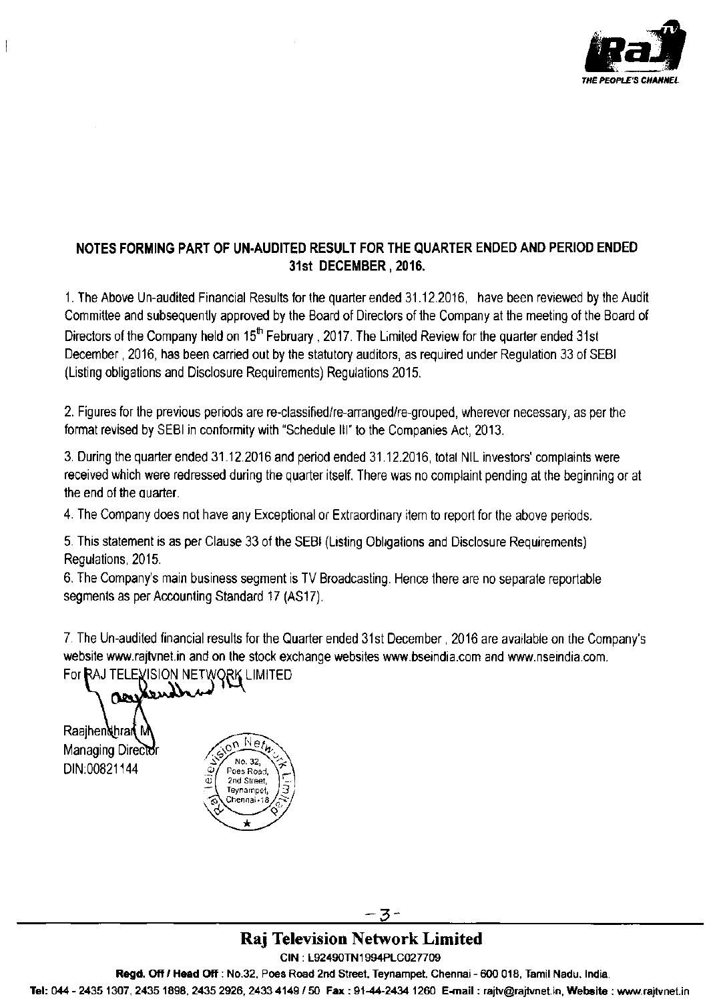

## NOTES FORMING PART OF UN-AUDITED RESULT FOR THE QUARTER ENDED AND PERIOD ENDED 31st DECEMBER, 2016.

1. The Above Un-audited Financial Results for the quarter ended 31.12.2016, have been reviewed by the Audit Committee and subsequently approved by the Board of Directors of the Company at the meeting of the Board of Directors of the Company held on 15<sup>th</sup> February, 2017. The Limited Review for the quarter ended 31st December, 2016, has been carried out by the statutory auditors, as required under Regulation 33 of SEBI (Listing obligations and Disclosure Requirements) Regulations 2015.

2. Figures for the previous periods are re-classified/re-arranged/re-grouped, wherever necessary, as per the format revised by SEBI in conformity with "Schedule III" to the Companies Act, 2013.

3. During the quarter ended 31.12.2016 and period ended 31.12.2016, total NIL investors' complaints were received which were redressed during the quarter itself. There was no complaint pending at the beginning or at the end of the quarter.

4. The Company does not have any Exceptional or Extraordinary item to report for the above periods.

5. This statement is as per Clause 33 of the SEBI (Listing Obligations and Disclosure Requirements) Regulations, 2015.

6. The Company's main business segment is TV Broadcasting. Hence there are no separate reportable segments as per Accounting Standard 17 (AS17).

7. The Un-audited financial results for the Quarter ended 31st December, 2016 are available on the Company's website www.rajtvnet.in and on the stock exchange websites www.bseindia.com and www.nseindia.com.

For RAJ TELEVISION NETWORK LIMITED ഘ

Raaihendhran N Managing Director DIN:00821144



-3-

## **Raj Television Network Limited**

CIN: L92490TN1994PLC027709

Regd. Off / Head Off : No.32, Poes Road 2nd Street, Teynampet, Chennai - 600 018, Tamil Nadu, India.

Tel: 044 - 2435 1307, 2435 1898, 2435 2926, 2433 4149 / 50 Fax: 91-44-2434 1260 E-mail: rajtv@rajtvnet.in, Website: www.rajtvnet.in